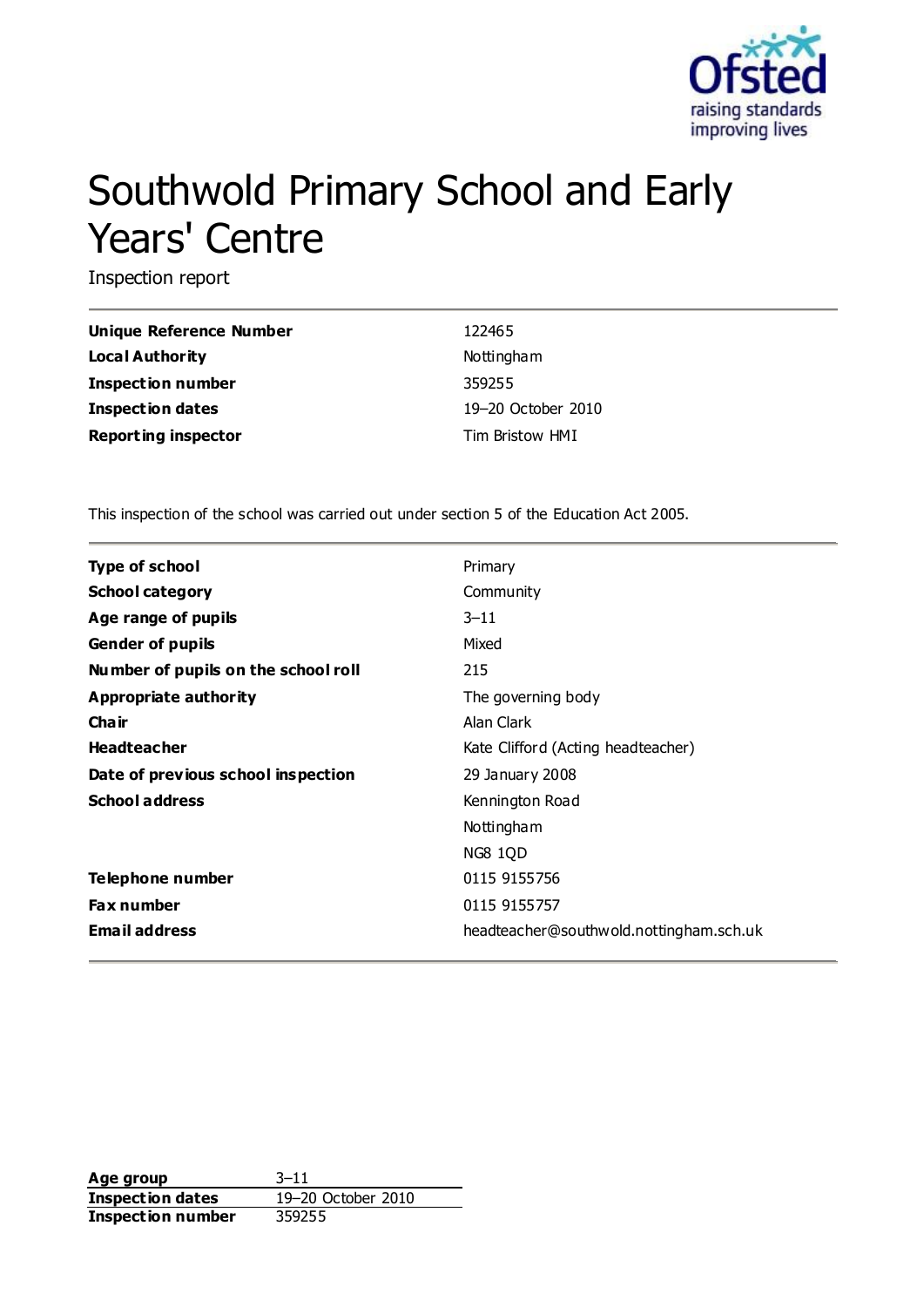

# Southwold Primary School and Early Years' Centre

Inspection report

| Unique Reference Number    | 122465             |
|----------------------------|--------------------|
| Local Authority            | Nottingham         |
| <b>Inspection number</b>   | 359255             |
| Inspection dates           | 19-20 October 2010 |
| <b>Reporting inspector</b> | Tim Bristow HMI    |

This inspection of the school was carried out under section 5 of the Education Act 2005.

| <b>Type of school</b>               | Primary                                 |
|-------------------------------------|-----------------------------------------|
| <b>School category</b>              | Community                               |
| Age range of pupils                 | $3 - 11$                                |
| <b>Gender of pupils</b>             | Mixed                                   |
| Number of pupils on the school roll | 215                                     |
| Appropriate authority               | The governing body                      |
| Cha ir                              | Alan Clark                              |
| <b>Headteacher</b>                  | Kate Clifford (Acting headteacher)      |
| Date of previous school inspection  | 29 January 2008                         |
| <b>School address</b>               | Kennington Road                         |
|                                     | Nottingham                              |
|                                     | <b>NG8 1QD</b>                          |
| Telephone number                    | 0115 9155756                            |
| <b>Fax number</b>                   | 0115 9155757                            |
| <b>Email address</b>                | headteacher@southwold.nottingham.sch.uk |

**Age group** 3–11 **Inspection dates** 19–20 October 2010 **Inspection number** 359255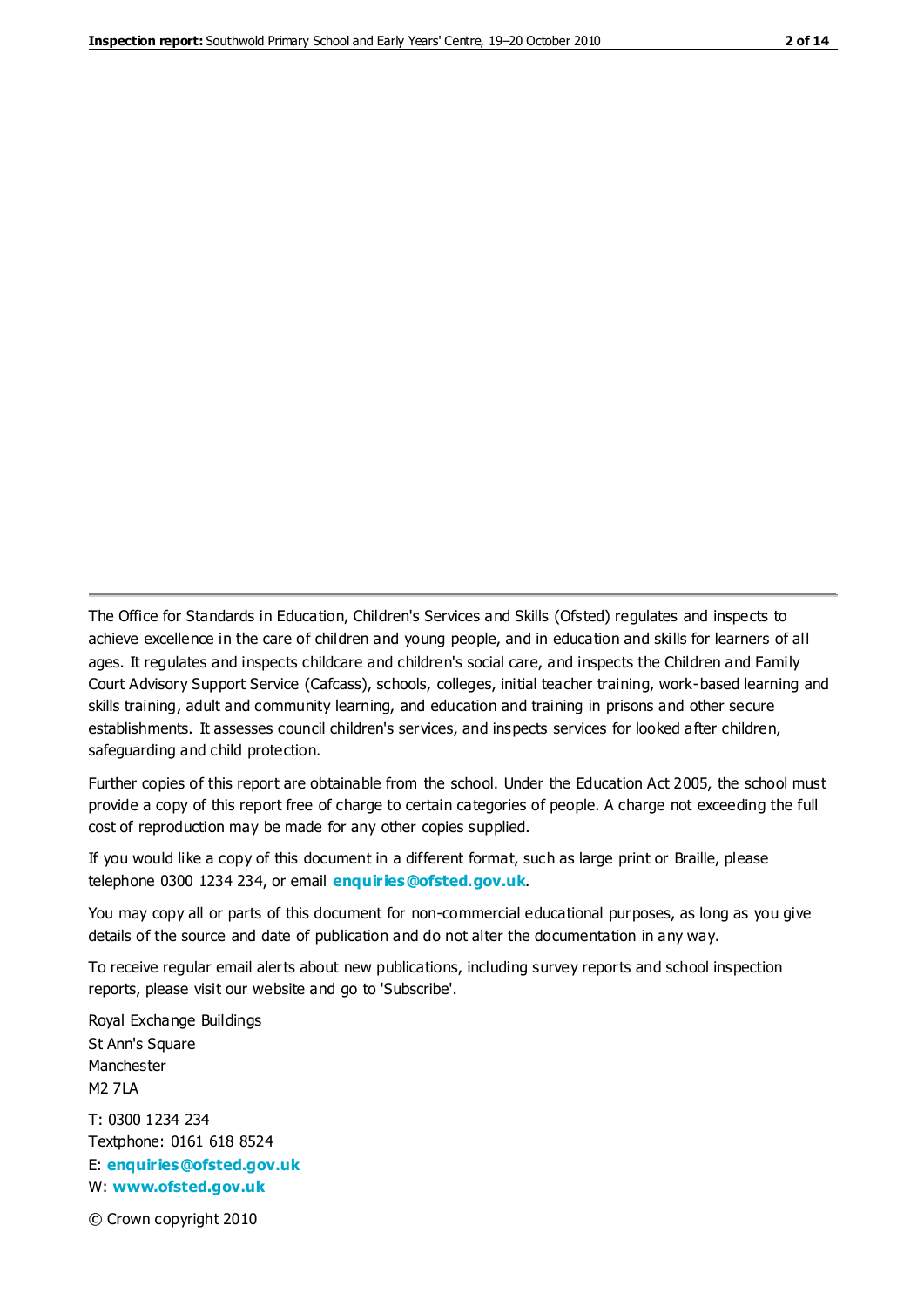The Office for Standards in Education, Children's Services and Skills (Ofsted) regulates and inspects to achieve excellence in the care of children and young people, and in education and skills for learners of all ages. It regulates and inspects childcare and children's social care, and inspects the Children and Family Court Advisory Support Service (Cafcass), schools, colleges, initial teacher training, work-based learning and skills training, adult and community learning, and education and training in prisons and other secure establishments. It assesses council children's services, and inspects services for looked after children, safeguarding and child protection.

Further copies of this report are obtainable from the school. Under the Education Act 2005, the school must provide a copy of this report free of charge to certain categories of people. A charge not exceeding the full cost of reproduction may be made for any other copies supplied.

If you would like a copy of this document in a different format, such as large print or Braille, please telephone 0300 1234 234, or email **[enquiries@ofsted.gov.uk](mailto:enquiries@ofsted.gov.uk)**.

You may copy all or parts of this document for non-commercial educational purposes, as long as you give details of the source and date of publication and do not alter the documentation in any way.

To receive regular email alerts about new publications, including survey reports and school inspection reports, please visit our website and go to 'Subscribe'.

Royal Exchange Buildings St Ann's Square Manchester M2 7LA T: 0300 1234 234 Textphone: 0161 618 8524 E: **[enquiries@ofsted.gov.uk](mailto:enquiries@ofsted.gov.uk)**

W: **[www.ofsted.gov.uk](http://www.ofsted.gov.uk/)**

© Crown copyright 2010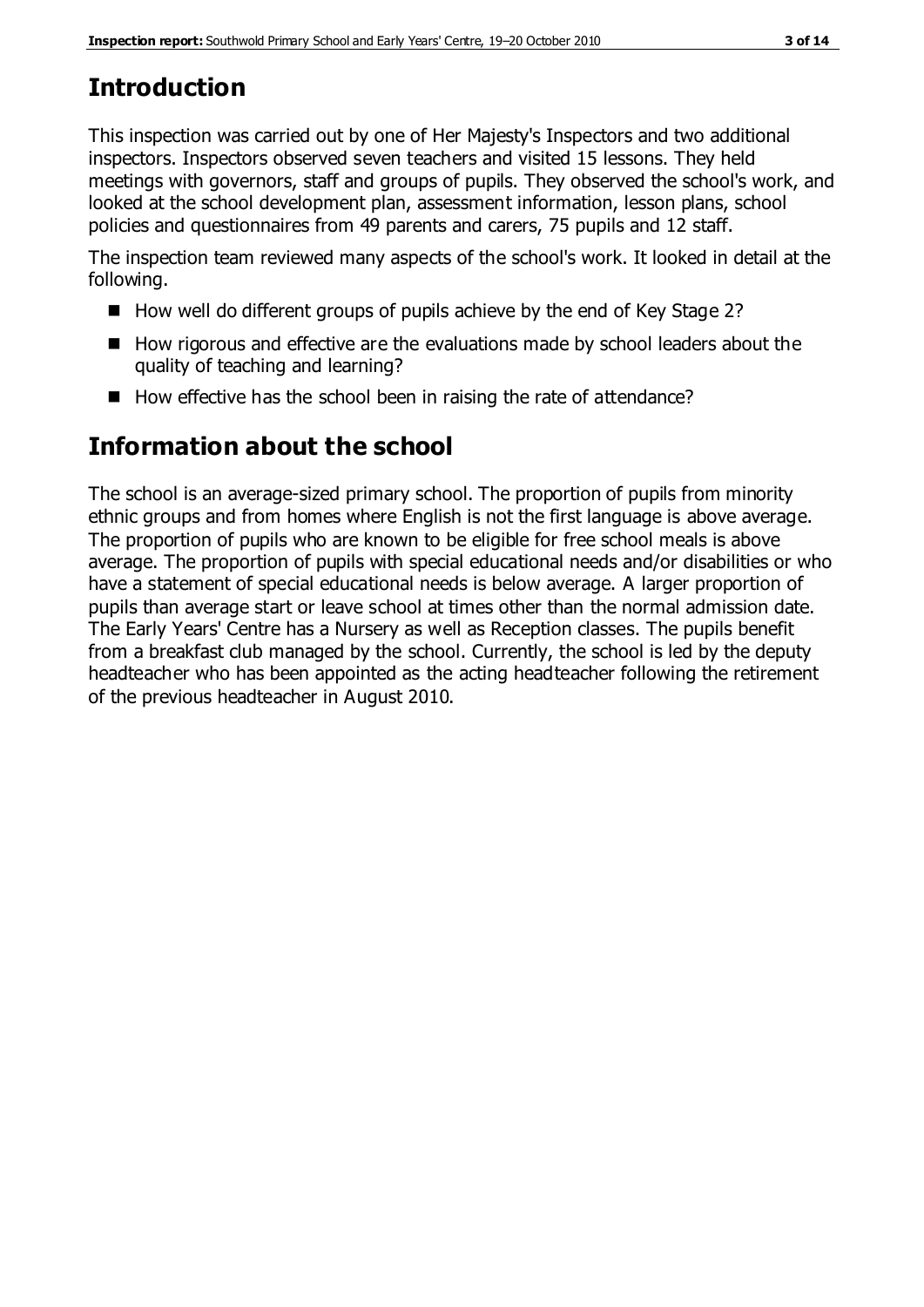# **Introduction**

This inspection was carried out by one of Her Majesty's Inspectors and two additional inspectors. Inspectors observed seven teachers and visited 15 lessons. They held meetings with governors, staff and groups of pupils. They observed the school's work, and looked at the school development plan, assessment information, lesson plans, school policies and questionnaires from 49 parents and carers, 75 pupils and 12 staff.

The inspection team reviewed many aspects of the school's work. It looked in detail at the following.

- $\blacksquare$  How well do different groups of pupils achieve by the end of Key Stage 2?
- $\blacksquare$  How rigorous and effective are the evaluations made by school leaders about the quality of teaching and learning?
- How effective has the school been in raising the rate of attendance?

# **Information about the school**

The school is an average-sized primary school. The proportion of pupils from minority ethnic groups and from homes where English is not the first language is above average. The proportion of pupils who are known to be eligible for free school meals is above average. The proportion of pupils with special educational needs and/or disabilities or who have a statement of special educational needs is below average. A larger proportion of pupils than average start or leave school at times other than the normal admission date. The Early Years' Centre has a Nursery as well as Reception classes. The pupils benefit from a breakfast club managed by the school. Currently, the school is led by the deputy headteacher who has been appointed as the acting headteacher following the retirement of the previous headteacher in August 2010.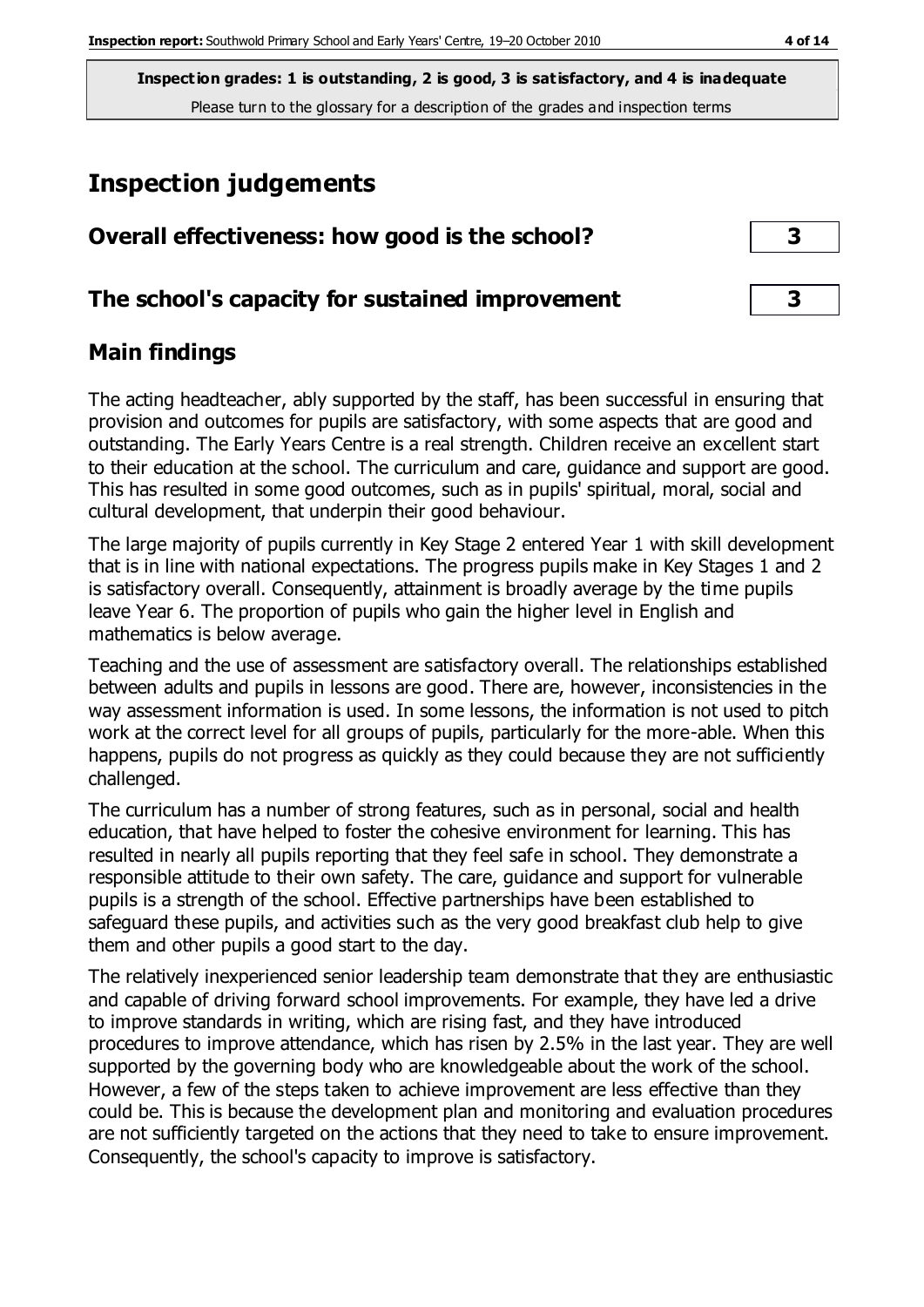# **Inspection judgements**

| Overall effectiveness: how good is the school?  | 3 |  |
|-------------------------------------------------|---|--|
| The school's capacity for sustained improvement | 3 |  |

# **Main findings**

The acting headteacher, ably supported by the staff, has been successful in ensuring that provision and outcomes for pupils are satisfactory, with some aspects that are good and outstanding. The Early Years Centre is a real strength. Children receive an excellent start to their education at the school. The curriculum and care, guidance and support are good. This has resulted in some good outcomes, such as in pupils' spiritual, moral, social and cultural development, that underpin their good behaviour.

The large majority of pupils currently in Key Stage 2 entered Year 1 with skill development that is in line with national expectations. The progress pupils make in Key Stages 1 and 2 is satisfactory overall. Consequently, attainment is broadly average by the time pupils leave Year 6. The proportion of pupils who gain the higher level in English and mathematics is below average.

Teaching and the use of assessment are satisfactory overall. The relationships established between adults and pupils in lessons are good. There are, however, inconsistencies in the way assessment information is used. In some lessons, the information is not used to pitch work at the correct level for all groups of pupils, particularly for the more-able. When this happens, pupils do not progress as quickly as they could because they are not sufficiently challenged.

The curriculum has a number of strong features, such as in personal, social and health education, that have helped to foster the cohesive environment for learning. This has resulted in nearly all pupils reporting that they feel safe in school. They demonstrate a responsible attitude to their own safety. The care, guidance and support for vulnerable pupils is a strength of the school. Effective partnerships have been established to safeguard these pupils, and activities such as the very good breakfast club help to give them and other pupils a good start to the day.

The relatively inexperienced senior leadership team demonstrate that they are enthusiastic and capable of driving forward school improvements. For example, they have led a drive to improve standards in writing, which are rising fast, and they have introduced procedures to improve attendance, which has risen by 2.5% in the last year. They are well supported by the governing body who are knowledgeable about the work of the school. However, a few of the steps taken to achieve improvement are less effective than they could be. This is because the development plan and monitoring and evaluation procedures are not sufficiently targeted on the actions that they need to take to ensure improvement. Consequently, the school's capacity to improve is satisfactory.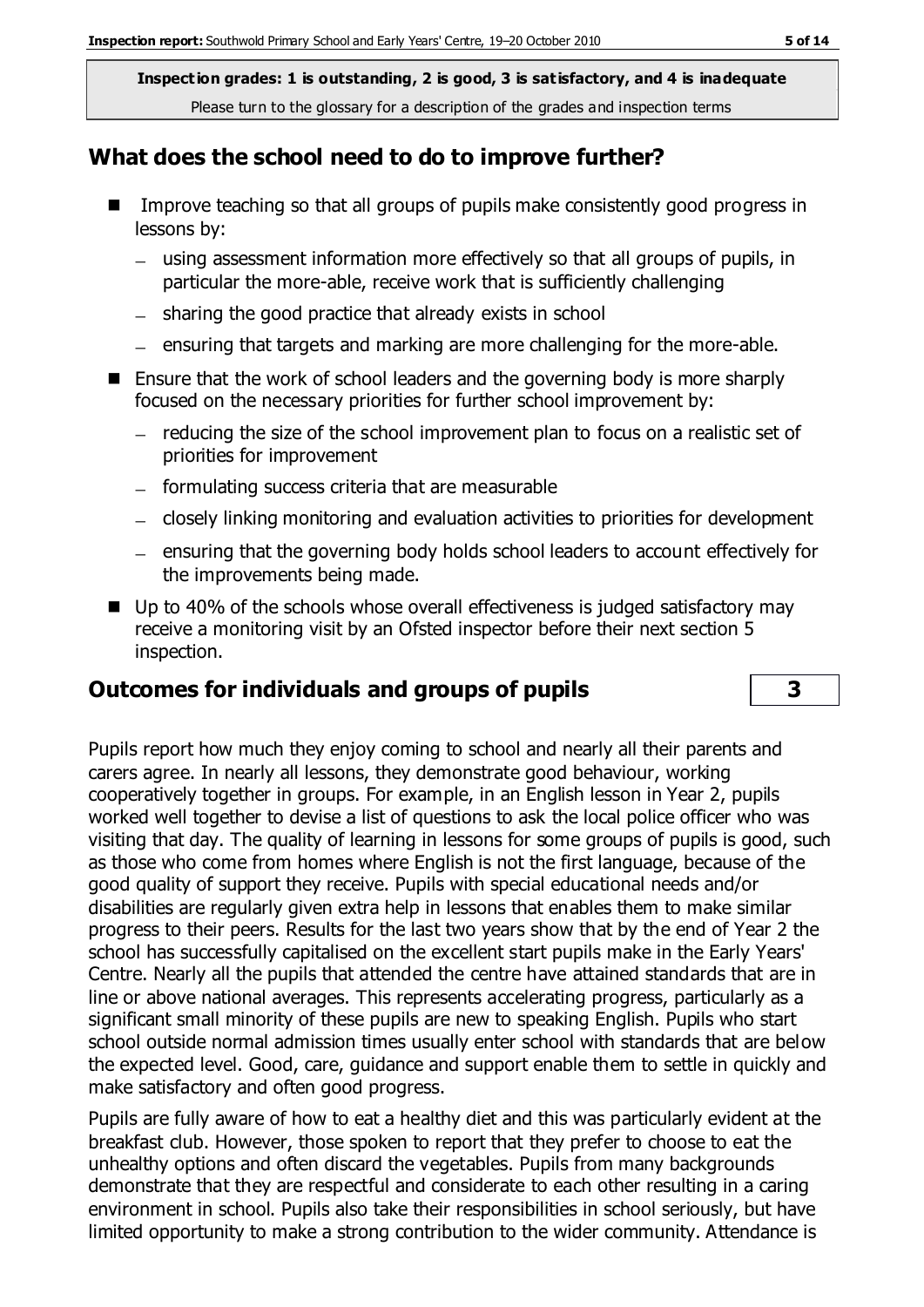## **What does the school need to do to improve further?**

- Improve teaching so that all groups of pupils make consistently good progress in lessons by:
	- using assessment information more effectively so that all groups of pupils, in particular the more-able, receive work that is sufficiently challenging
	- $-$  sharing the good practice that already exists in school
	- $-$  ensuring that targets and marking are more challenging for the more-able.
- Ensure that the work of school leaders and the governing body is more sharply focused on the necessary priorities for further school improvement by:
	- $-$  reducing the size of the school improvement plan to focus on a realistic set of priorities for improvement
	- $-$  formulating success criteria that are measurable
	- closely linking monitoring and evaluation activities to priorities for development
	- ensuring that the governing body holds school leaders to account effectively for the improvements being made.
- Up to 40% of the schools whose overall effectiveness is judged satisfactory may receive a monitoring visit by an Ofsted inspector before their next section 5 inspection.

## **Outcomes for individuals and groups of pupils 3**

Pupils report how much they enjoy coming to school and nearly all their parents and carers agree. In nearly all lessons, they demonstrate good behaviour, working cooperatively together in groups. For example, in an English lesson in Year 2, pupils worked well together to devise a list of questions to ask the local police officer who was visiting that day. The quality of learning in lessons for some groups of pupils is good, such as those who come from homes where English is not the first language, because of the good quality of support they receive. Pupils with special educational needs and/or disabilities are regularly given extra help in lessons that enables them to make similar progress to their peers. Results for the last two years show that by the end of Year 2 the school has successfully capitalised on the excellent start pupils make in the Early Years' Centre. Nearly all the pupils that attended the centre have attained standards that are in line or above national averages. This represents accelerating progress, particularly as a significant small minority of these pupils are new to speaking English. Pupils who start school outside normal admission times usually enter school with standards that are below the expected level. Good, care, guidance and support enable them to settle in quickly and make satisfactory and often good progress.

Pupils are fully aware of how to eat a healthy diet and this was particularly evident at the breakfast club. However, those spoken to report that they prefer to choose to eat the unhealthy options and often discard the vegetables. Pupils from many backgrounds demonstrate that they are respectful and considerate to each other resulting in a caring environment in school. Pupils also take their responsibilities in school seriously, but have limited opportunity to make a strong contribution to the wider community. Attendance is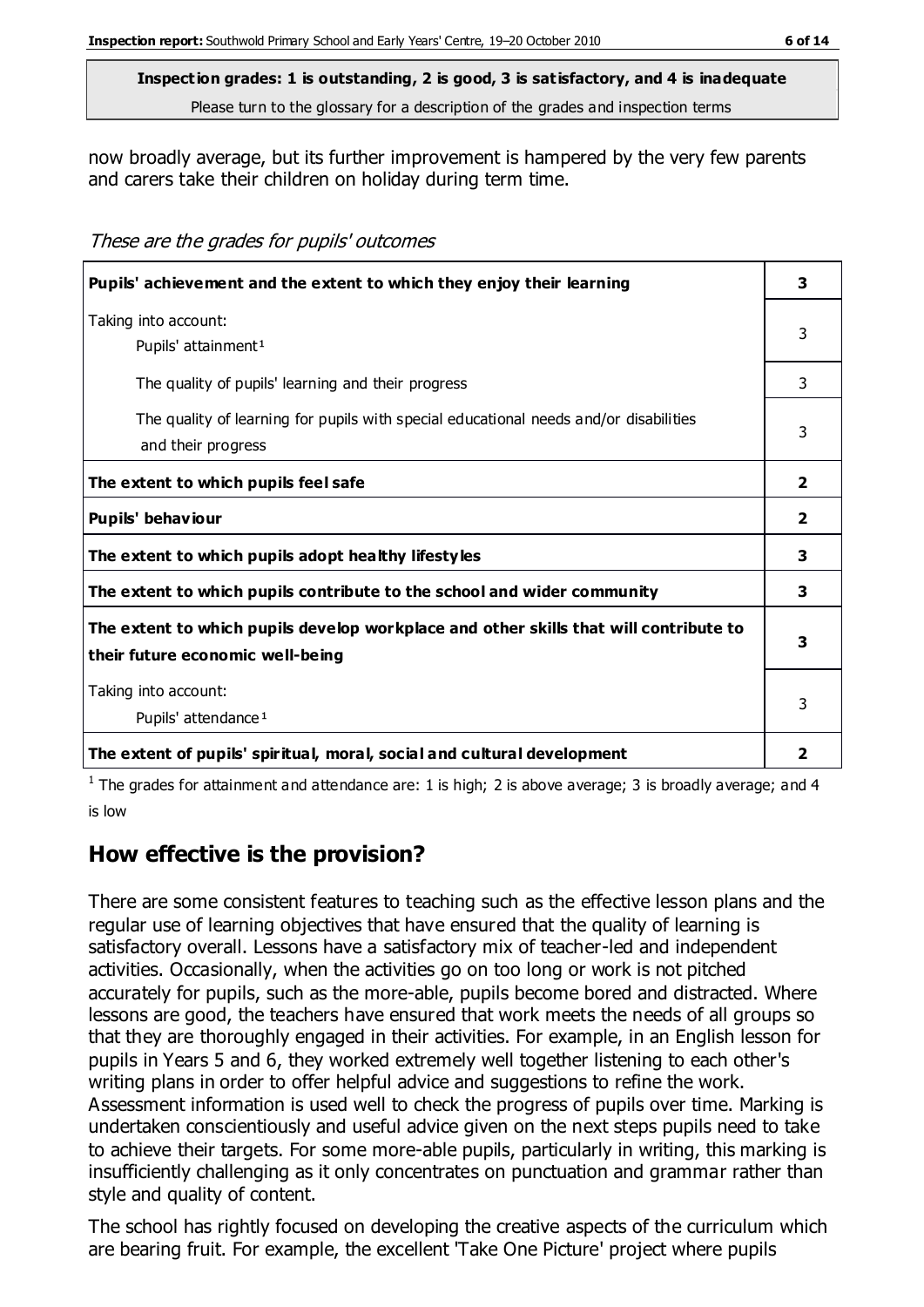now broadly average, but its further improvement is hampered by the very few parents and carers take their children on holiday during term time.

These are the grades for pupils' outcomes

| Pupils' achievement and the extent to which they enjoy their learning                                                     | 3              |
|---------------------------------------------------------------------------------------------------------------------------|----------------|
| Taking into account:<br>Pupils' attainment <sup>1</sup>                                                                   | 3              |
| The quality of pupils' learning and their progress                                                                        | 3              |
| The quality of learning for pupils with special educational needs and/or disabilities<br>and their progress               | 3              |
| The extent to which pupils feel safe                                                                                      | $\overline{2}$ |
| Pupils' behaviour                                                                                                         | $\overline{2}$ |
| The extent to which pupils adopt healthy lifestyles                                                                       | 3              |
| The extent to which pupils contribute to the school and wider community                                                   | 3              |
| The extent to which pupils develop workplace and other skills that will contribute to<br>their future economic well-being | 3              |
| Taking into account:<br>Pupils' attendance <sup>1</sup>                                                                   |                |
| The extent of pupils' spiritual, moral, social and cultural development                                                   | 2              |

<sup>1</sup> The grades for attainment and attendance are: 1 is high; 2 is above average; 3 is broadly average; and 4 is low

# **How effective is the provision?**

There are some consistent features to teaching such as the effective lesson plans and the regular use of learning objectives that have ensured that the quality of learning is satisfactory overall. Lessons have a satisfactory mix of teacher-led and independent activities. Occasionally, when the activities go on too long or work is not pitched accurately for pupils, such as the more-able, pupils become bored and distracted. Where lessons are good, the teachers have ensured that work meets the needs of all groups so that they are thoroughly engaged in their activities. For example, in an English lesson for pupils in Years 5 and 6, they worked extremely well together listening to each other's writing plans in order to offer helpful advice and suggestions to refine the work. Assessment information is used well to check the progress of pupils over time. Marking is undertaken conscientiously and useful advice given on the next steps pupils need to take to achieve their targets. For some more-able pupils, particularly in writing, this marking is insufficiently challenging as it only concentrates on punctuation and grammar rather than style and quality of content.

The school has rightly focused on developing the creative aspects of the curriculum which are bearing fruit. For example, the excellent 'Take One Picture' project where pupils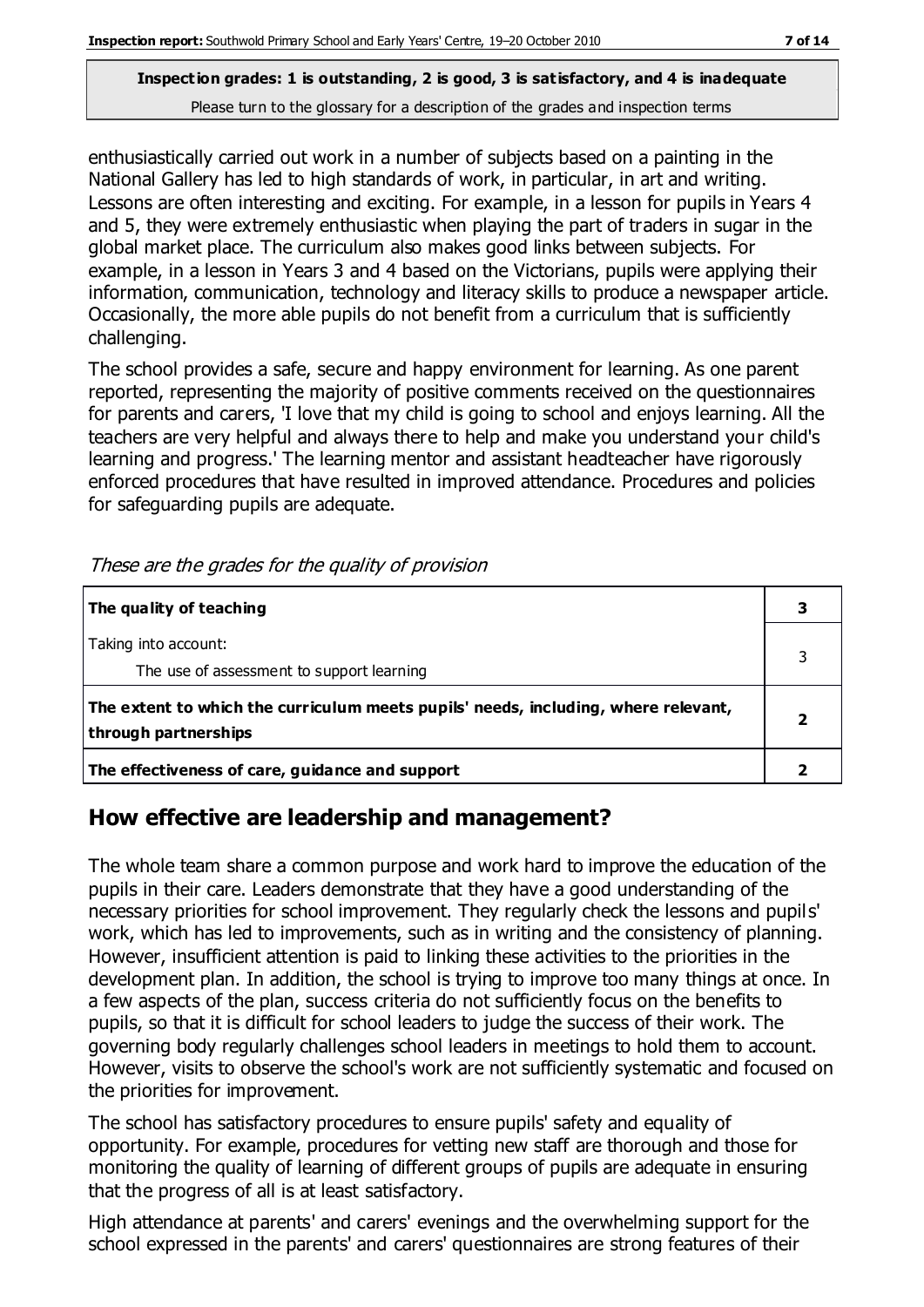enthusiastically carried out work in a number of subjects based on a painting in the National Gallery has led to high standards of work, in particular, in art and writing. Lessons are often interesting and exciting. For example, in a lesson for pupils in Years 4 and 5, they were extremely enthusiastic when playing the part of traders in sugar in the global market place. The curriculum also makes good links between subjects. For example, in a lesson in Years 3 and 4 based on the Victorians, pupils were applying their information, communication, technology and literacy skills to produce a newspaper article. Occasionally, the more able pupils do not benefit from a curriculum that is sufficiently challenging.

The school provides a safe, secure and happy environment for learning. As one parent reported, representing the majority of positive comments received on the questionnaires for parents and carers, 'I love that my child is going to school and enjoys learning. All the teachers are very helpful and always there to help and make you understand your child's learning and progress.' The learning mentor and assistant headteacher have rigorously enforced procedures that have resulted in improved attendance. Procedures and policies for safeguarding pupils are adequate.

| The quality of teaching                                                                                    |  |
|------------------------------------------------------------------------------------------------------------|--|
| Taking into account:<br>The use of assessment to support learning                                          |  |
| The extent to which the curriculum meets pupils' needs, including, where relevant,<br>through partnerships |  |
| The effectiveness of care, guidance and support                                                            |  |

These are the grades for the quality of provision

# **How effective are leadership and management?**

The whole team share a common purpose and work hard to improve the education of the pupils in their care. Leaders demonstrate that they have a good understanding of the necessary priorities for school improvement. They regularly check the lessons and pupils' work, which has led to improvements, such as in writing and the consistency of planning. However, insufficient attention is paid to linking these activities to the priorities in the development plan. In addition, the school is trying to improve too many things at once. In a few aspects of the plan, success criteria do not sufficiently focus on the benefits to pupils, so that it is difficult for school leaders to judge the success of their work. The governing body regularly challenges school leaders in meetings to hold them to account. However, visits to observe the school's work are not sufficiently systematic and focused on the priorities for improvement.

The school has satisfactory procedures to ensure pupils' safety and equality of opportunity. For example, procedures for vetting new staff are thorough and those for monitoring the quality of learning of different groups of pupils are adequate in ensuring that the progress of all is at least satisfactory.

High attendance at parents' and carers' evenings and the overwhelming support for the school expressed in the parents' and carers' questionnaires are strong features of their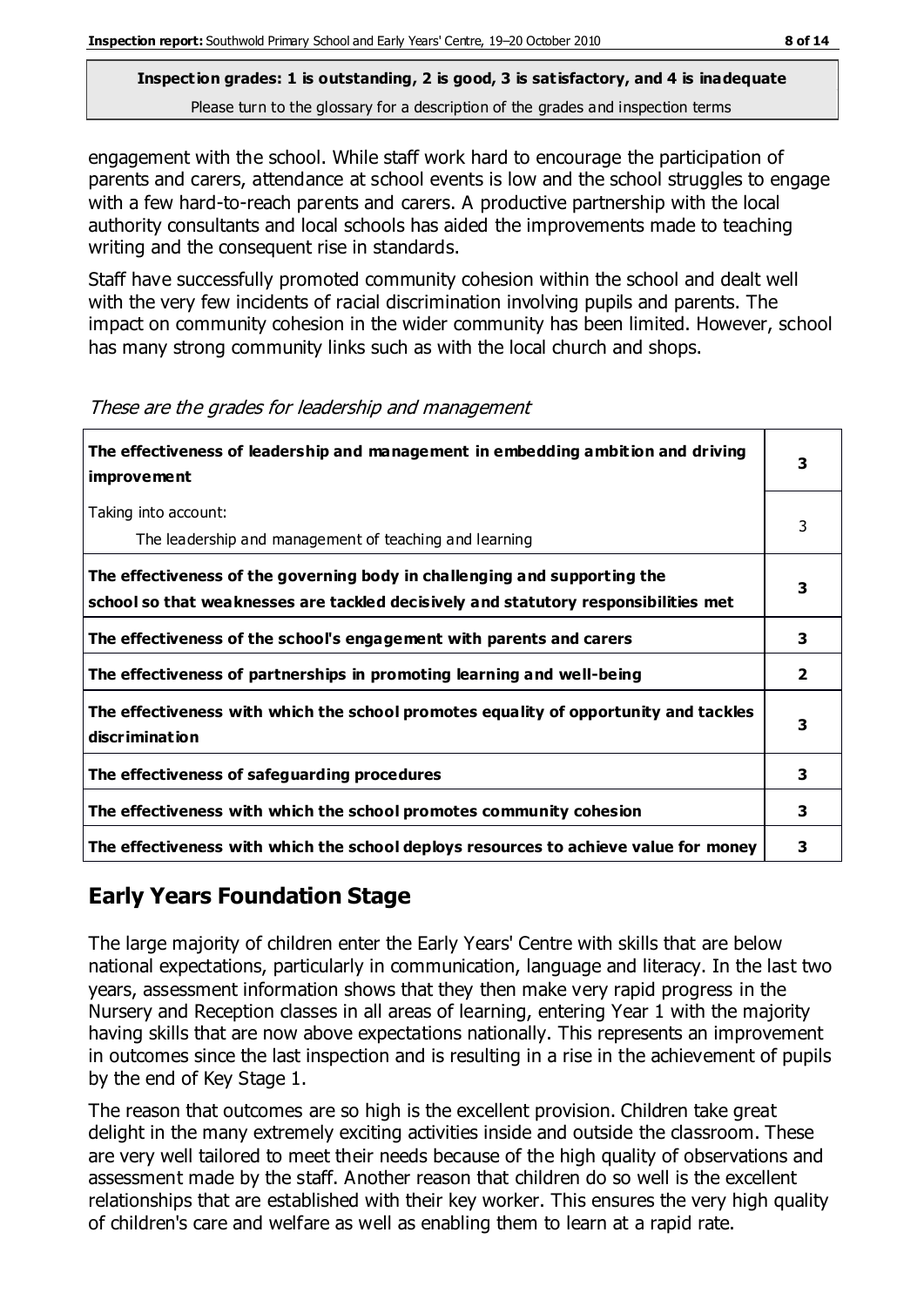engagement with the school. While staff work hard to encourage the participation of parents and carers, attendance at school events is low and the school struggles to engage with a few hard-to-reach parents and carers. A productive partnership with the local authority consultants and local schools has aided the improvements made to teaching writing and the consequent rise in standards.

Staff have successfully promoted community cohesion within the school and dealt well with the very few incidents of racial discrimination involving pupils and parents. The impact on community cohesion in the wider community has been limited. However, school has many strong community links such as with the local church and shops.

| The effectiveness of leadership and management in embedding ambition and driving<br><b>improvement</b>                                                           | 3            |
|------------------------------------------------------------------------------------------------------------------------------------------------------------------|--------------|
| Taking into account:<br>The leadership and management of teaching and learning                                                                                   | 3            |
| The effectiveness of the governing body in challenging and supporting the<br>school so that weaknesses are tackled decisively and statutory responsibilities met | 3            |
| The effectiveness of the school's engagement with parents and carers                                                                                             | 3            |
| The effectiveness of partnerships in promoting learning and well-being                                                                                           | $\mathbf{2}$ |
| The effectiveness with which the school promotes equality of opportunity and tackles<br>discrimination                                                           | 3            |
| The effectiveness of safeguarding procedures                                                                                                                     | 3            |
| The effectiveness with which the school promotes community cohesion                                                                                              | 3            |
| The effectiveness with which the school deploys resources to achieve value for money                                                                             | 3            |

These are the grades for leadership and management

# **Early Years Foundation Stage**

The large majority of children enter the Early Years' Centre with skills that are below national expectations, particularly in communication, language and literacy. In the last two years, assessment information shows that they then make very rapid progress in the Nursery and Reception classes in all areas of learning, entering Year 1 with the majority having skills that are now above expectations nationally. This represents an improvement in outcomes since the last inspection and is resulting in a rise in the achievement of pupils by the end of Key Stage 1.

The reason that outcomes are so high is the excellent provision. Children take great delight in the many extremely exciting activities inside and outside the classroom. These are very well tailored to meet their needs because of the high quality of observations and assessment made by the staff. Another reason that children do so well is the excellent relationships that are established with their key worker. This ensures the very high quality of children's care and welfare as well as enabling them to learn at a rapid rate.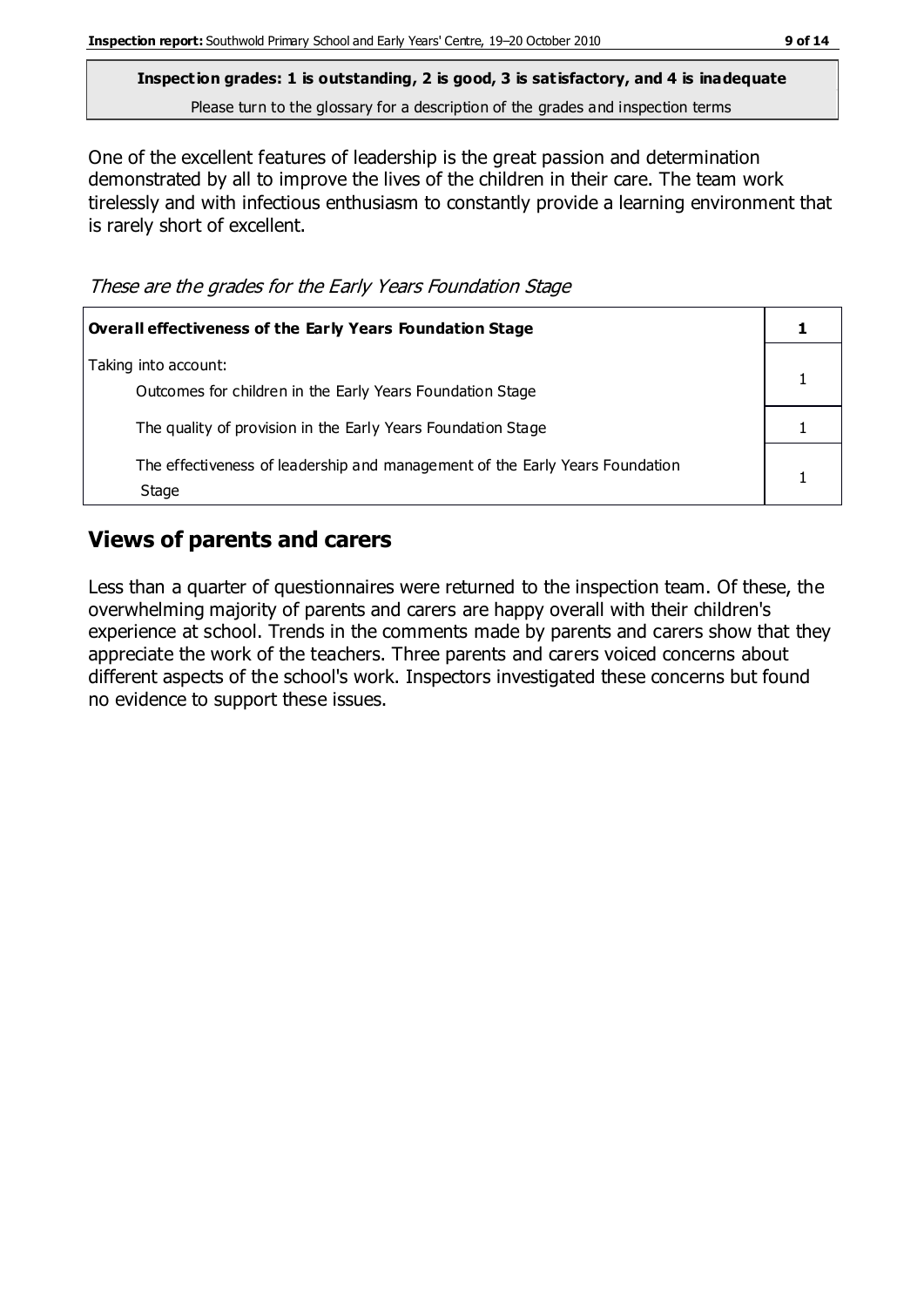One of the excellent features of leadership is the great passion and determination demonstrated by all to improve the lives of the children in their care. The team work tirelessly and with infectious enthusiasm to constantly provide a learning environment that is rarely short of excellent.

These are the grades for the Early Years Foundation Stage

| <b>Overall effectiveness of the Early Years Foundation Stage</b>                      |  |
|---------------------------------------------------------------------------------------|--|
| Taking into account:<br>Outcomes for children in the Early Years Foundation Stage     |  |
| The quality of provision in the Early Years Foundation Stage                          |  |
| The effectiveness of leadership and management of the Early Years Foundation<br>Stage |  |

# **Views of parents and carers**

Less than a quarter of questionnaires were returned to the inspection team. Of these, the overwhelming majority of parents and carers are happy overall with their children's experience at school. Trends in the comments made by parents and carers show that they appreciate the work of the teachers. Three parents and carers voiced concerns about different aspects of the school's work. Inspectors investigated these concerns but found no evidence to support these issues.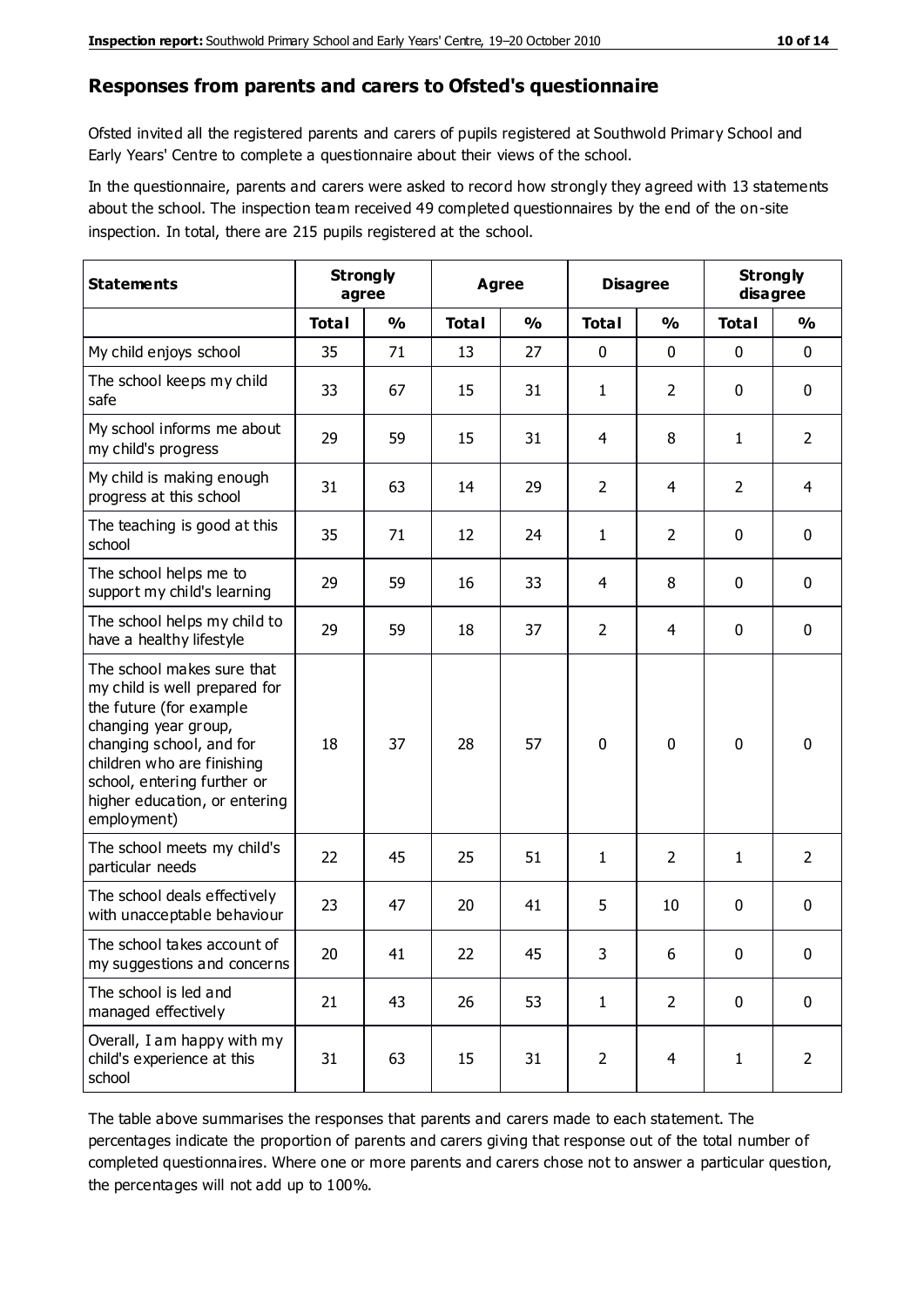#### **Responses from parents and carers to Ofsted's questionnaire**

Ofsted invited all the registered parents and carers of pupils registered at Southwold Primary School and Early Years' Centre to complete a questionnaire about their views of the school.

In the questionnaire, parents and carers were asked to record how strongly they agreed with 13 statements about the school. The inspection team received 49 completed questionnaires by the end of the on-site inspection. In total, there are 215 pupils registered at the school.

| <b>Statements</b>                                                                                                                                                                                                                                       | <b>Strongly</b><br>agree |               | <b>Agree</b> |               | <b>Disagree</b> |                | <b>Strongly</b><br>disagree |                |
|---------------------------------------------------------------------------------------------------------------------------------------------------------------------------------------------------------------------------------------------------------|--------------------------|---------------|--------------|---------------|-----------------|----------------|-----------------------------|----------------|
|                                                                                                                                                                                                                                                         | <b>Total</b>             | $\frac{0}{0}$ | <b>Total</b> | $\frac{0}{0}$ | <b>Total</b>    | $\frac{0}{0}$  | <b>Total</b>                | $\frac{0}{0}$  |
| My child enjoys school                                                                                                                                                                                                                                  | 35                       | 71            | 13           | 27            | 0               | $\mathbf 0$    | 0                           | $\mathbf 0$    |
| The school keeps my child<br>safe                                                                                                                                                                                                                       | 33                       | 67            | 15           | 31            | $\mathbf{1}$    | $\overline{2}$ | 0                           | $\pmb{0}$      |
| My school informs me about<br>my child's progress                                                                                                                                                                                                       | 29                       | 59            | 15           | 31            | 4               | 8              | $\mathbf{1}$                | $\overline{2}$ |
| My child is making enough<br>progress at this school                                                                                                                                                                                                    | 31                       | 63            | 14           | 29            | $\overline{2}$  | 4              | $\overline{2}$              | $\overline{4}$ |
| The teaching is good at this<br>school                                                                                                                                                                                                                  | 35                       | 71            | 12           | 24            | $\mathbf{1}$    | $\overline{2}$ | 0                           | 0              |
| The school helps me to<br>support my child's learning                                                                                                                                                                                                   | 29                       | 59            | 16           | 33            | 4               | 8              | 0                           | $\mathbf 0$    |
| The school helps my child to<br>have a healthy lifestyle                                                                                                                                                                                                | 29                       | 59            | 18           | 37            | $\overline{2}$  | $\overline{4}$ | 0                           | 0              |
| The school makes sure that<br>my child is well prepared for<br>the future (for example<br>changing year group,<br>changing school, and for<br>children who are finishing<br>school, entering further or<br>higher education, or entering<br>employment) | 18                       | 37            | 28           | 57            | $\mathbf 0$     | $\mathbf{0}$   | $\mathbf 0$                 | $\mathbf 0$    |
| The school meets my child's<br>particular needs                                                                                                                                                                                                         | 22                       | 45            | 25           | 51            | $\mathbf{1}$    | 2              | 1                           | $\overline{2}$ |
| The school deals effectively<br>with unacceptable behaviour                                                                                                                                                                                             | 23                       | 47            | 20           | 41            | 5               | 10             | 0                           | 0              |
| The school takes account of<br>my suggestions and concerns                                                                                                                                                                                              | 20                       | 41            | 22           | 45            | 3               | 6              | 0                           | 0              |
| The school is led and<br>managed effectively                                                                                                                                                                                                            | 21                       | 43            | 26           | 53            | $\mathbf{1}$    | $\overline{2}$ | $\mathbf 0$                 | $\mathbf 0$    |
| Overall, I am happy with my<br>child's experience at this<br>school                                                                                                                                                                                     | 31                       | 63            | 15           | 31            | $\overline{2}$  | $\overline{4}$ | $\mathbf{1}$                | $\overline{2}$ |

The table above summarises the responses that parents and carers made to each statement. The percentages indicate the proportion of parents and carers giving that response out of the total number of completed questionnaires. Where one or more parents and carers chose not to answer a particular question, the percentages will not add up to 100%.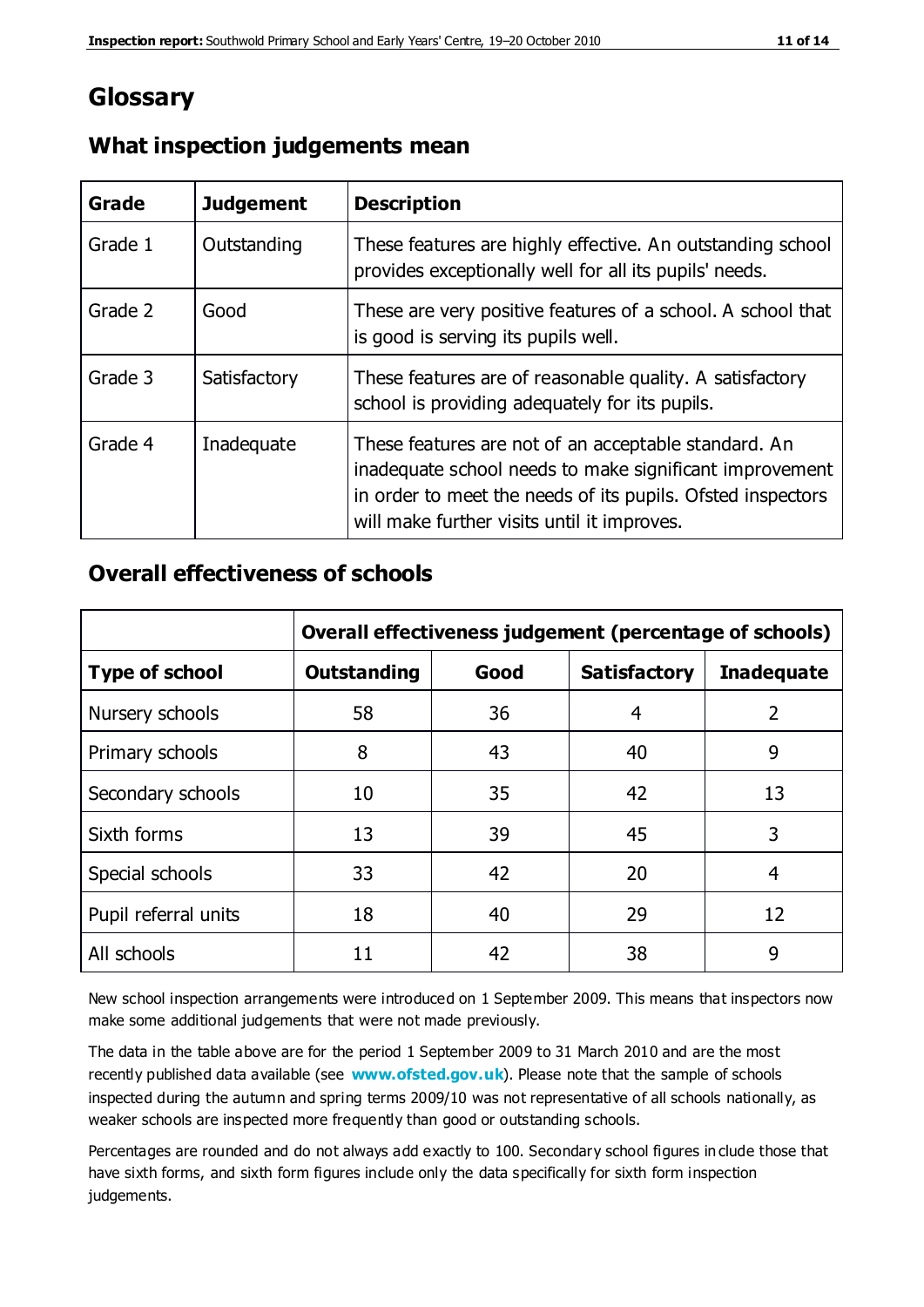# **Glossary**

| Grade   | <b>Judgement</b> | <b>Description</b>                                                                                                                                                                                                            |
|---------|------------------|-------------------------------------------------------------------------------------------------------------------------------------------------------------------------------------------------------------------------------|
| Grade 1 | Outstanding      | These features are highly effective. An outstanding school<br>provides exceptionally well for all its pupils' needs.                                                                                                          |
| Grade 2 | Good             | These are very positive features of a school. A school that<br>is good is serving its pupils well.                                                                                                                            |
| Grade 3 | Satisfactory     | These features are of reasonable quality. A satisfactory<br>school is providing adequately for its pupils.                                                                                                                    |
| Grade 4 | Inadequate       | These features are not of an acceptable standard. An<br>inadequate school needs to make significant improvement<br>in order to meet the needs of its pupils. Ofsted inspectors<br>will make further visits until it improves. |

# **What inspection judgements mean**

# **Overall effectiveness of schools**

|                       |                    |      | Overall effectiveness judgement (percentage of schools) |                   |
|-----------------------|--------------------|------|---------------------------------------------------------|-------------------|
| <b>Type of school</b> | <b>Outstanding</b> | Good | <b>Satisfactory</b>                                     | <b>Inadequate</b> |
| Nursery schools       | 58                 | 36   | 4                                                       | 2                 |
| Primary schools       | 8                  | 43   | 40                                                      | 9                 |
| Secondary schools     | 10                 | 35   | 42                                                      | 13                |
| Sixth forms           | 13                 | 39   | 45                                                      | 3                 |
| Special schools       | 33                 | 42   | 20                                                      | 4                 |
| Pupil referral units  | 18                 | 40   | 29                                                      | 12                |
| All schools           | 11                 | 42   | 38                                                      | 9                 |

New school inspection arrangements were introduced on 1 September 2009. This means that inspectors now make some additional judgements that were not made previously.

The data in the table above are for the period 1 September 2009 to 31 March 2010 and are the most recently published data available (see **[www.ofsted.gov.uk](http://www.ofsted.gov.uk/)**). Please note that the sample of schools inspected during the autumn and spring terms 2009/10 was not representative of all schools nationally, as weaker schools are inspected more frequently than good or outstanding schools.

Percentages are rounded and do not always add exactly to 100. Secondary school figures in clude those that have sixth forms, and sixth form figures include only the data specifically for sixth form inspection judgements.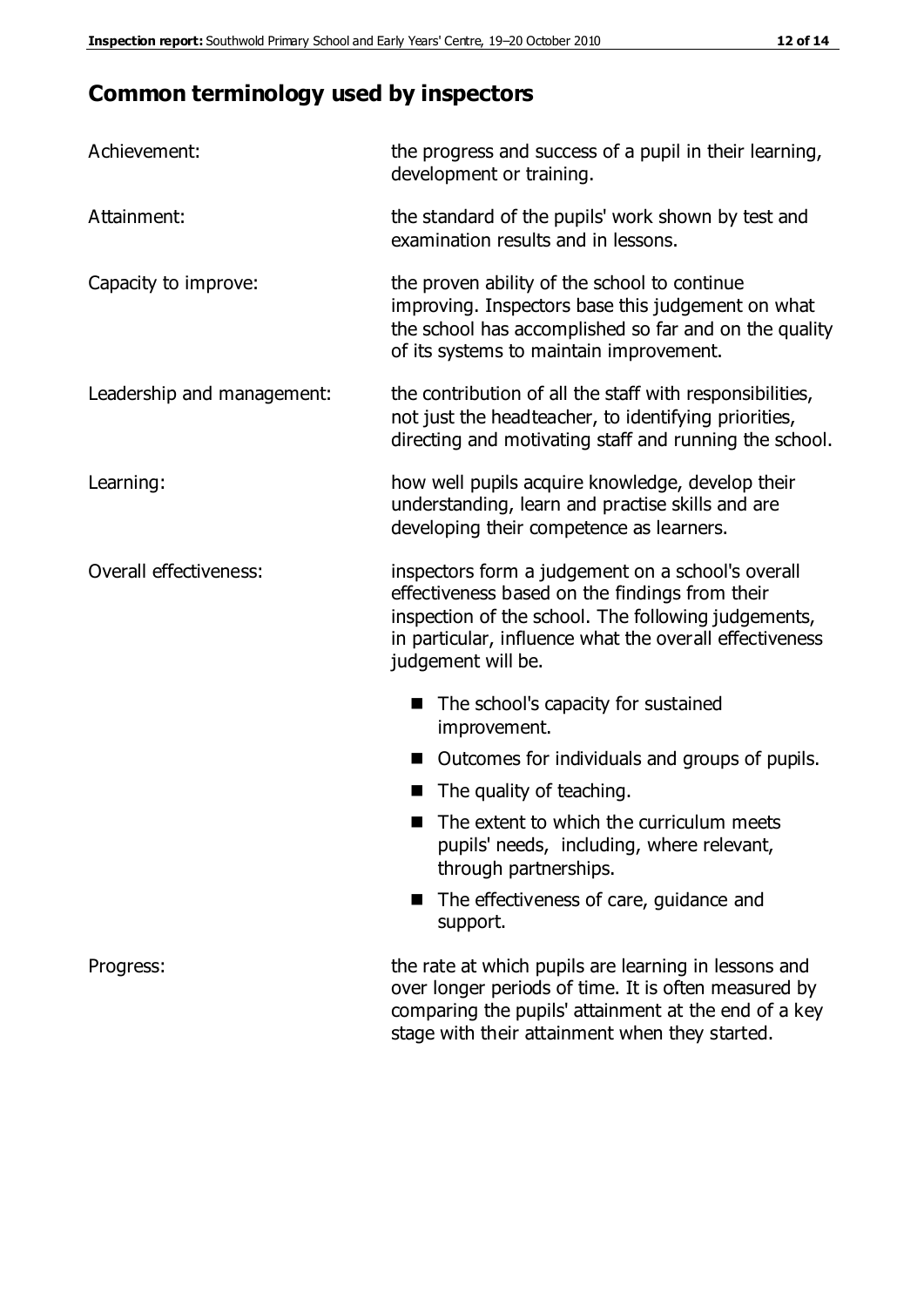# **Common terminology used by inspectors**

| Achievement:               | the progress and success of a pupil in their learning,<br>development or training.                                                                                                                                                          |
|----------------------------|---------------------------------------------------------------------------------------------------------------------------------------------------------------------------------------------------------------------------------------------|
| Attainment:                | the standard of the pupils' work shown by test and<br>examination results and in lessons.                                                                                                                                                   |
| Capacity to improve:       | the proven ability of the school to continue<br>improving. Inspectors base this judgement on what<br>the school has accomplished so far and on the quality<br>of its systems to maintain improvement.                                       |
| Leadership and management: | the contribution of all the staff with responsibilities,<br>not just the headteacher, to identifying priorities,<br>directing and motivating staff and running the school.                                                                  |
| Learning:                  | how well pupils acquire knowledge, develop their<br>understanding, learn and practise skills and are<br>developing their competence as learners.                                                                                            |
| Overall effectiveness:     | inspectors form a judgement on a school's overall<br>effectiveness based on the findings from their<br>inspection of the school. The following judgements,<br>in particular, influence what the overall effectiveness<br>judgement will be. |
|                            | The school's capacity for sustained<br>improvement.                                                                                                                                                                                         |
|                            | Outcomes for individuals and groups of pupils.                                                                                                                                                                                              |
|                            | The quality of teaching.                                                                                                                                                                                                                    |
|                            | The extent to which the curriculum meets<br>pupils' needs, including, where relevant,<br>through partnerships.                                                                                                                              |
|                            | The effectiveness of care, guidance and<br>support.                                                                                                                                                                                         |
| Progress:                  | the rate at which pupils are learning in lessons and<br>over longer periods of time. It is often measured by<br>comparing the pupils' attainment at the end of a key                                                                        |

stage with their attainment when they started.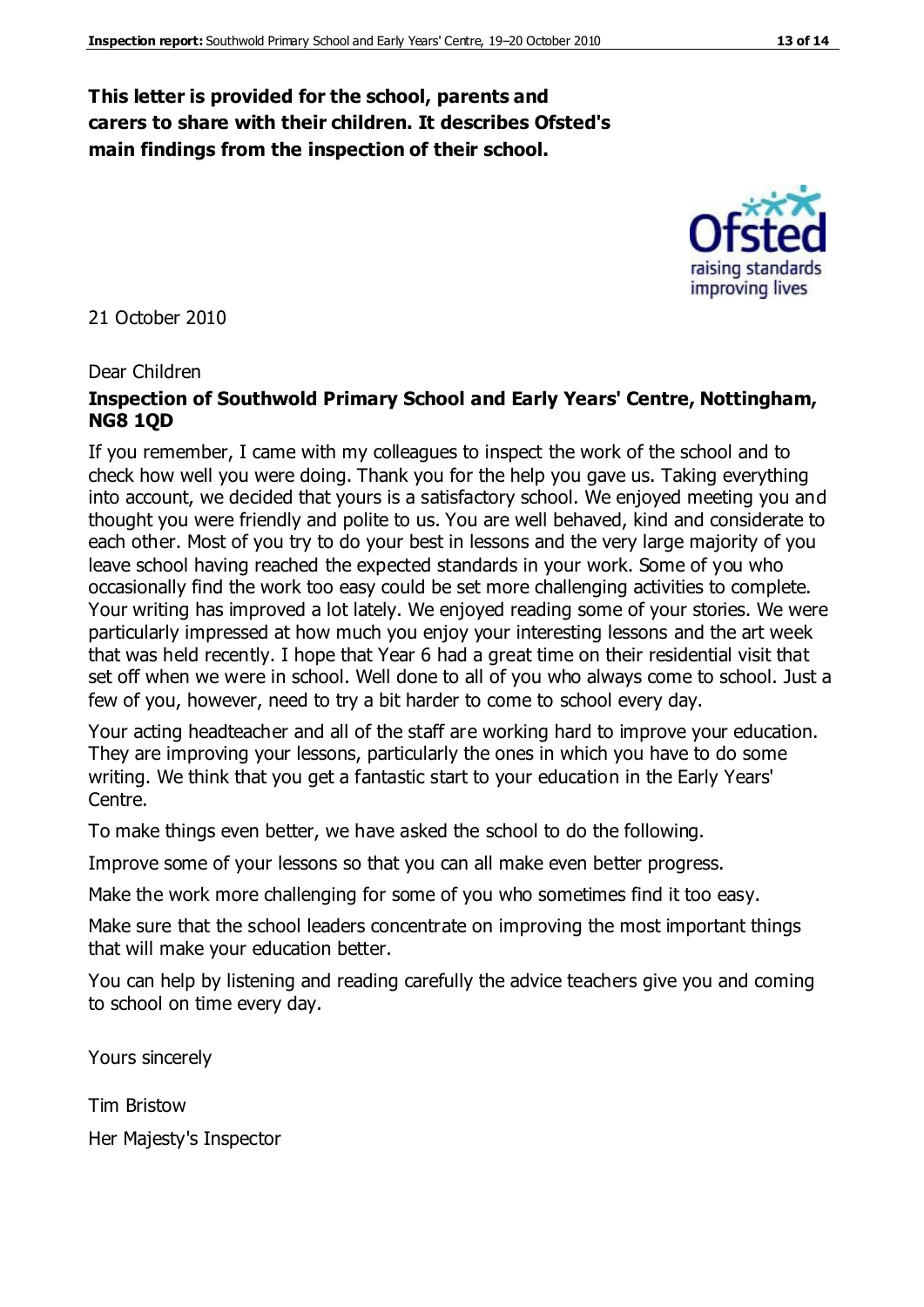#### **This letter is provided for the school, parents and carers to share with their children. It describes Ofsted's main findings from the inspection of their school.**

21 October 2010

#### Dear Children

#### **Inspection of Southwold Primary School and Early Years' Centre, Nottingham, NG8 1QD**

If you remember, I came with my colleagues to inspect the work of the school and to check how well you were doing. Thank you for the help you gave us. Taking everything into account, we decided that yours is a satisfactory school. We enjoyed meeting you and thought you were friendly and polite to us. You are well behaved, kind and considerate to each other. Most of you try to do your best in lessons and the very large majority of you leave school having reached the expected standards in your work. Some of you who occasionally find the work too easy could be set more challenging activities to complete. Your writing has improved a lot lately. We enjoyed reading some of your stories. We were particularly impressed at how much you enjoy your interesting lessons and the art week that was held recently. I hope that Year 6 had a great time on their residential visit that set off when we were in school. Well done to all of you who always come to school. Just a few of you, however, need to try a bit harder to come to school every day.

Your acting headteacher and all of the staff are working hard to improve your education. They are improving your lessons, particularly the ones in which you have to do some writing. We think that you get a fantastic start to your education in the Early Years' Centre.

To make things even better, we have asked the school to do the following.

Improve some of your lessons so that you can all make even better progress.

Make the work more challenging for some of you who sometimes find it too easy.

Make sure that the school leaders concentrate on improving the most important things that will make your education better.

You can help by listening and reading carefully the advice teachers give you and coming to school on time every day.

Yours sincerely

Tim Bristow

Her Majesty's Inspector